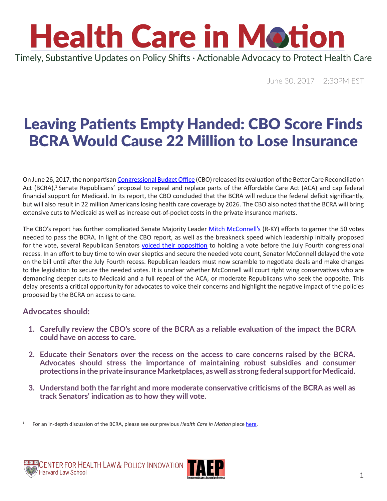### **Health Care in Motion** Timely, Substantive Updates on Policy Shifts · Actionable Advocacy to Protect Health Care

June 30, 2017 2:30PM EST

### Leaving Patients Empty Handed: CBO Score Finds BCRA Would Cause 22 Million to Lose Insurance

On June 26, 2017, the nonpartisan [Congressional Budget Office](https://www.cbo.gov/) (CBO) released its evaluation of the Better Care Reconciliation Act (BCRA),<sup>1</sup> Senate Republicans' proposal to repeal and replace parts of the Affordable Care Act (ACA) and cap federal financial support for Medicaid. In its report, the CBO concluded that the BCRA will reduce the federal deficit significantly, but will also result in 22 million Americans losing health care coverage by 2026. The CBO also noted that the BCRA will bring extensive cuts to Medicaid as well as increase out-of-pocket costs in the private insurance markets.

The CBO's report has further complicated Senate Majority Leader [Mitch McConnell](https://www.mcconnell.senate.gov/public/index.cfm/contact)'s (R-KY) efforts to garner the 50 votes needed to pass the BCRA. In light of the CBO report, as well as the breakneck speed which leadership initially proposed for the vote, several Republican Senators [voiced their opposition](http://www.politico.com/story/2017/06/27/republicans-key-repeal-vote-delay-240010) to holding a vote before the July Fourth congressional recess. In an effort to buy time to win over skeptics and secure the needed vote count, Senator McConnell delayed the vote on the bill until after the July Fourth recess. Republican leaders must now scramble to negotiate deals and make changes to the legislation to secure the needed votes. It is unclear whether McConnell will court right wing conservatives who are demanding deeper cuts to Medicaid and a full repeal of the ACA, or moderate Republicans who seek the opposite. This delay presents a critical opportunity for advocates to voice their concerns and highlight the negative impact of the policies proposed by the BCRA on access to care.

#### **Advocates should:**

- **1. Carefully review the CBO's score of the BCRA as a reliable evaluation of the impact the BCRA could have on access to care.**
- **2. Educate their Senators over the recess on the access to care concerns raised by the BCRA. Advocates should stress the importance of maintaining robust subsidies and consumer protections in the private insurance Marketplaces, as well as strong federal support for Medicaid.**
- **3. Understand both the far right and more moderate conservative criticisms of the BCRA as well as track Senators' indication as to how they will vote.**





<sup>1</sup> For an in-depth discussion of the BCRA, please see our previous *Health Care in Motion* piece [here](http://www.chlpi.org/wp-content/uploads/2013/12/HCIM_06_23_2017.pdf).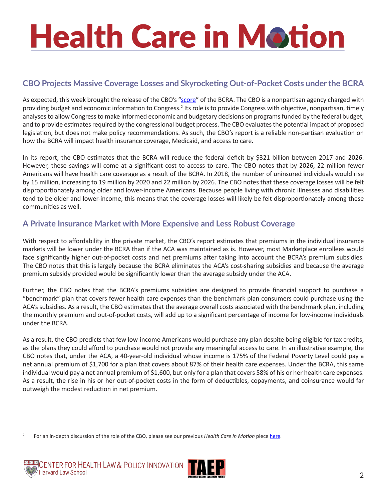#### **CBO Projects Massive Coverage Losses and Skyrocketing Out-of-Pocket Costs under the BCRA**

As expected, this week brought the release of the CBO's "[score](https://www.cbo.gov/system/files/115th-congress-2017-2018/costestimate/52849-hr1628senate.pdf)" of the BCRA. The CBO is a nonpartisan agency charged with providing budget and economic information to Congress.<sup>2</sup> Its role is to provide Congress with objective, nonpartisan, timely analyses to allow Congress to make informed economic and budgetary decisions on programs funded by the federal budget, and to provide estimates required by the congressional budget process. The CBO evaluates the potential impact of proposed legislation, but does not make policy recommendations. As such, the CBO's report is a reliable non-partisan evaluation on how the BCRA will impact health insurance coverage, Medicaid, and access to care.

In its report, the CBO estimates that the BCRA will reduce the federal deficit by \$321 billion between 2017 and 2026. However, these savings will come at a significant cost to access to care. The CBO notes that by 2026, 22 million fewer Americans will have health care coverage as a result of the BCRA. In 2018, the number of uninsured individuals would rise by 15 million, increasing to 19 million by 2020 and 22 million by 2026. The CBO notes that these coverage losses will be felt disproportionately among older and lower-income Americans. Because people living with chronic illnesses and disabilities tend to be older and lower-income, this means that the coverage losses will likely be felt disproportionately among these communities as well.

#### **A Private Insurance Market with More Expensive and Less Robust Coverage**

With respect to affordability in the private market, the CBO's report estimates that premiums in the individual insurance markets will be lower under the BCRA than if the ACA was maintained as is. However, most Marketplace enrollees would face significantly higher out-of-pocket costs and net premiums after taking into account the BCRA's premium subsidies. The CBO notes that this is largely because the BCRA eliminates the ACA's cost-sharing subsidies and because the average premium subsidy provided would be significantly lower than the average subsidy under the ACA.

Further, the CBO notes that the BCRA's premiums subsidies are designed to provide financial support to purchase a "benchmark" plan that covers fewer health care expenses than the benchmark plan consumers could purchase using the ACA's subsidies. As a result, the CBO estimates that the average overall costs associated with the benchmark plan, including the monthly premium and out-of-pocket costs, will add up to a significant percentage of income for low-income individuals under the BCRA.

As a result, the CBO predicts that few low-income Americans would purchase any plan despite being eligible for tax credits, as the plans they could afford to purchase would not provide any meaningful access to care. In an illustrative example, the CBO notes that, under the ACA, a 40-year-old individual whose income is 175% of the Federal Poverty Level could pay a net annual premium of \$1,700 for a plan that covers about 87% of their health care expenses. Under the BCRA, this same individual would pay a net annual premium of \$1,600, but only for a plan that covers 58% of his or her health care expenses. As a result, the rise in his or her out-of-pocket costs in the form of deductibles, copayments, and coinsurance would far outweigh the modest reduction in net premium.

2 For an in-depth discussion of the role of the CBO, please see our previous *Health Care in Motion* piece [here](http://www.chlpi.org/wp-content/uploads/2013/12/Health-Care-in-Motion_03_14_2017.pdf).



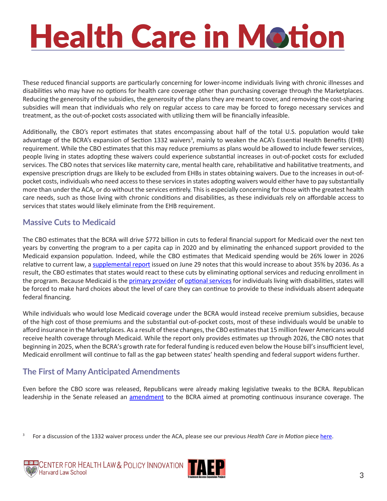These reduced financial supports are particularly concerning for lower-income individuals living with chronic illnesses and disabilities who may have no options for health care coverage other than purchasing coverage through the Marketplaces. Reducing the generosity of the subsidies, the generosity of the plans they are meant to cover, and removing the cost-sharing subsidies will mean that individuals who rely on regular access to care may be forced to forego necessary services and treatment, as the out-of-pocket costs associated with utilizing them will be financially infeasible.

Additionally, the CBO's report estimates that states encompassing about half of the total U.S. population would take advantage of the BCRA's expansion of Section 1332 waivers<sup>3</sup>, mainly to weaken the ACA's Essential Health Benefits (EHB) requirement. While the CBO estimates that this may reduce premiums as plans would be allowed to include fewer services, people living in states adopting these waivers could experience substantial increases in out-of-pocket costs for excluded services. The CBO notes that services like maternity care, mental health care, rehabilitative and habilitative treatments, and expensive prescription drugs are likely to be excluded from EHBs in states obtaining waivers. Due to the increases in out-ofpocket costs, individuals who need access to these services in states adopting waivers would either have to pay substantially more than under the ACA, or do without the services entirely. This is especially concerning for those with the greatest health care needs, such as those living with chronic conditions and disabilities, as these individuals rely on affordable access to services that states would likely eliminate from the EHB requirement.

#### **Massive Cuts to Medicaid**

The CBO estimates that the BCRA will drive \$772 billion in cuts to federal financial support for Medicaid over the next ten years by converting the program to a per capita cap in 2020 and by eliminating the enhanced support provided to the Medicaid expansion population. Indeed, while the CBO estimates that Medicaid spending would be 26% lower in 2026 relative to current law, a [supplemental report](https://www.cbo.gov/system/files/115th-congress-2017-2018/reports/52859-medicaid.pdf) issued on June 29 notes that this would increase to about 35% by 2036. As a result, the CBO estimates that states would react to these cuts by eliminating optional services and reducing enrollment in the program. Because Medicaid is the [primary provider](http://www.kff.org/health-reform/issue-brief/the-affordable-care-acts-impact-on-medicaid-eligibility-enrollment-and-benefits-for-people-with-disabilities/) of [optional services](https://www.thearc.org/document.doc?id=4645) for individuals living with disabilities, states will be forced to make hard choices about the level of care they can continue to provide to these individuals absent adequate federal financing.

While individuals who would lose Medicaid coverage under the BCRA would instead receive premium subsidies, because of the high cost of those premiums and the substantial out-of-pocket costs, most of these individuals would be unable to afford insurance in the Marketplaces. As a result of these changes, the CBO estimates that 15 million fewer Americans would receive health coverage through Medicaid. While the report only provides estimates up through 2026, the CBO notes that beginning in 2025, when the BCRA's growth rate for federal funding is reduced even below the House bill's insufficient level, Medicaid enrollment will continue to fall as the gap between states' health spending and federal support widens further.

#### **The First of Many Anticipated Amendments**

Even before the CBO score was released, Republicans were already making legislative tweaks to the BCRA. Republican leadership in the Senate released an [amendment](https://www.budget.senate.gov/bettercare) to the BCRA aimed at promoting continuous insurance coverage. The

3 For a discussion of the 1332 waiver process under the ACA, please see our previous *Health Care in Motion* piece [here](http://www.chlpi.org/wp-content/uploads/2013/12/HCIM_06_19_2017.pdf).



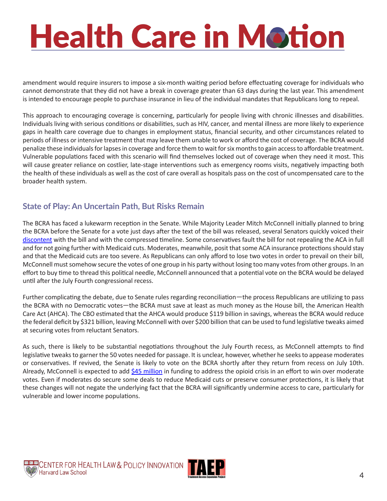amendment would require insurers to impose a six-month waiting period before effectuating coverage for individuals who cannot demonstrate that they did not have a break in coverage greater than 63 days during the last year. This amendment is intended to encourage people to purchase insurance in lieu of the individual mandates that Republicans long to repeal.

This approach to encouraging coverage is concerning, particularly for people living with chronic illnesses and disabilities. Individuals living with serious conditions or disabilities, such as HIV, cancer, and mental illness are more likely to experience gaps in health care coverage due to changes in employment status, financial security, and other circumstances related to periods of illness or intensive treatment that may leave them unable to work or afford the cost of coverage. The BCRA would penalize these individuals for lapses in coverage and force them to wait for six months to gain access to affordable treatment. Vulnerable populations faced with this scenario will find themselves locked out of coverage when they need it most. This will cause greater reliance on costlier, late-stage interventions such as emergency rooms visits, negatively impacting both the health of these individuals as well as the cost of care overall as hospitals pass on the cost of uncompensated care to the broader health system.

#### **State of Play: An Uncertain Path, But Risks Remain**

The BCRA has faced a lukewarm reception in the Senate. While Majority Leader Mitch McConnell initially planned to bring the BCRA before the Senate for a vote just days after the text of the bill was released, several Senators quickly voiced their [discontent](http://www.politico.com/story/2017/06/27/senate-obamacare-repeal-republicans-240023) with the bill and with the compressed timeline. Some conservatives fault the bill for not repealing the ACA in full and for not going further with Medicaid cuts. Moderates, meanwhile, posit that some ACA insurance protections should stay and that the Medicaid cuts are too severe. As Republicans can only afford to lose two votes in order to prevail on their bill, McConnell must somehow secure the votes of one group in his party without losing too many votes from other groups. In an effort to buy time to thread this political needle, McConnell announced that a potential vote on the BCRA would be delayed until after the July Fourth congressional recess.

Further complicating the debate, due to Senate rules regarding reconciliation—the process Republicans are utilizing to pass the BCRA with no Democratic votes—the BCRA must save at least as much money as the House bill, the American Health Care Act (AHCA). The CBO estimated that the AHCA would produce \$119 billion in savings, whereas the BCRA would reduce the federal deficit by \$321 billion, leaving McConnell with over \$200 billion that can be used to fund legislative tweaks aimed at securing votes from reluctant Senators.

As such, there is likely to be substantial negotiations throughout the July Fourth recess, as McConnell attempts to find legislative tweaks to garner the 50 votes needed for passage. It is unclear, however, whether he seeks to appease moderates or conservatives. If revived, the Senate is likely to vote on the BCRA shortly after they return from recess on July 10th. Already, McConnell is expected to add [\\$45 million](http://www.politico.com/story/2017/06/29/opioids-cash-senate-health-bill-240071) in funding to address the opioid crisis in an effort to win over moderate votes. Even if moderates do secure some deals to reduce Medicaid cuts or preserve consumer protections, it is likely that these changes will not negate the underlying fact that the BCRA will significantly undermine access to care, particularly for vulnerable and lower income populations.